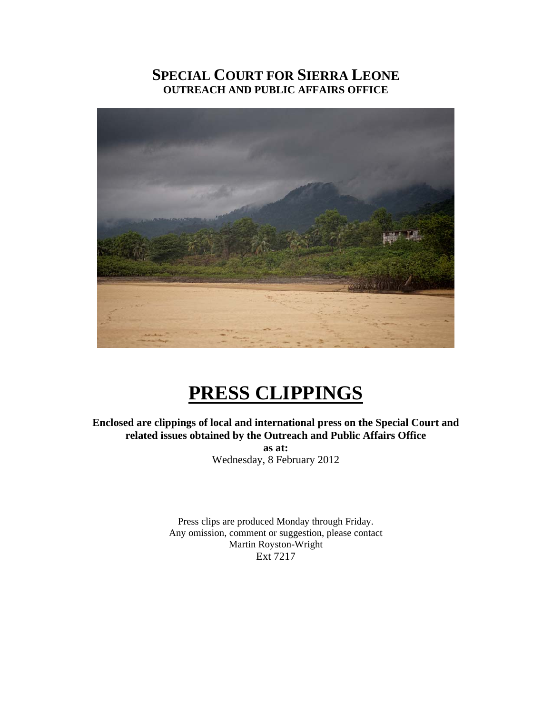# **SPECIAL COURT FOR SIERRA LEONE OUTREACH AND PUBLIC AFFAIRS OFFICE**



# **PRESS CLIPPINGS**

**Enclosed are clippings of local and international press on the Special Court and related issues obtained by the Outreach and Public Affairs Office as at:**  Wednesday, 8 February 2012

> Press clips are produced Monday through Friday. Any omission, comment or suggestion, please contact Martin Royston-Wright Ext 7217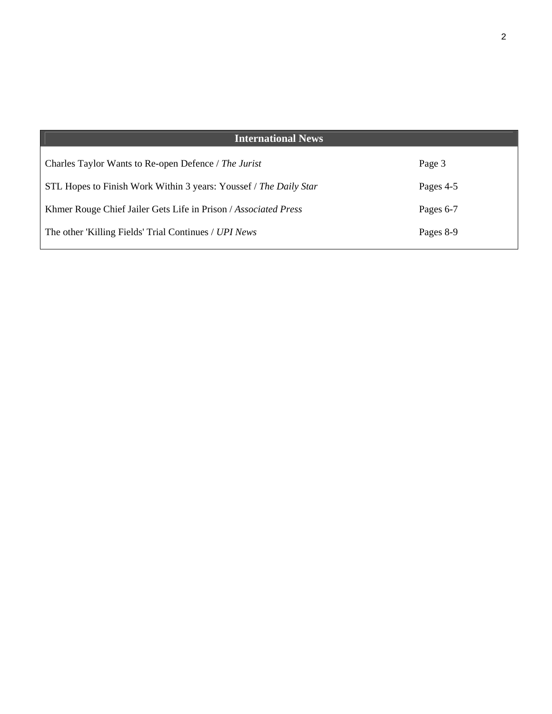| <b>International News</b>                                         |           |
|-------------------------------------------------------------------|-----------|
| Charles Taylor Wants to Re-open Defence / The Jurist              | Page 3    |
| STL Hopes to Finish Work Within 3 years: Youssef / The Daily Star | Pages 4-5 |
| Khmer Rouge Chief Jailer Gets Life in Prison / Associated Press   | Pages 6-7 |
| The other 'Killing Fields' Trial Continues / UPI News             | Pages 8-9 |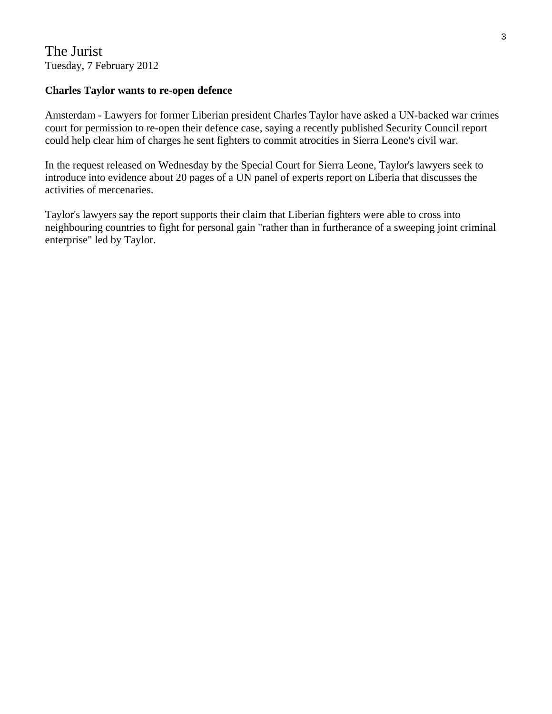# The Jurist Tuesday, 7 February 2012

## **Charles Taylor wants to re-open defence**

Amsterdam - Lawyers for former Liberian president Charles Taylor have asked a UN-backed war crimes court for permission to re-open their defence case, saying a recently published Security Council report could help clear him of charges he sent fighters to commit atrocities in Sierra Leone's civil war.

In the request released on Wednesday by the Special Court for Sierra Leone, Taylor's lawyers seek to introduce into evidence about 20 pages of a UN panel of experts report on Liberia that discusses the activities of mercenaries.

Taylor's lawyers say the report supports their claim that Liberian fighters were able to cross into neighbouring countries to fight for personal gain "rather than in furtherance of a sweeping joint criminal enterprise" led by Taylor.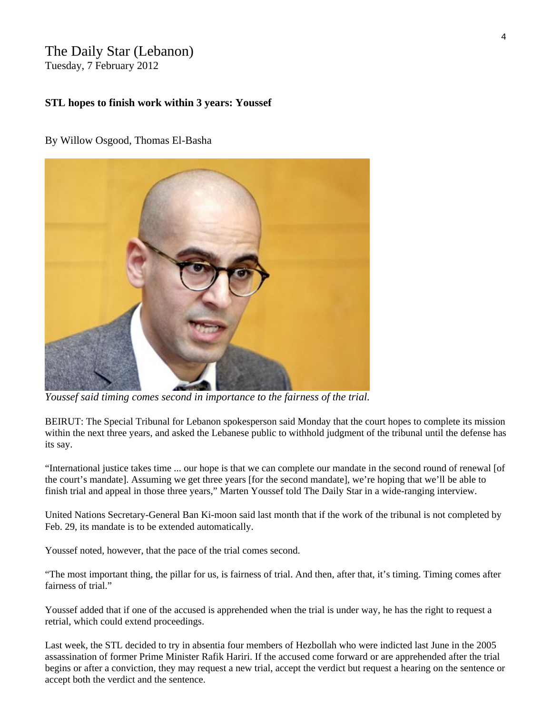# The Daily Star (Lebanon)

Tuesday, 7 February 2012

#### **STL hopes to finish work within 3 years: Youssef**

#### By [Willow Osgood](http://www.dailystar.com.lb/Willow-Osgood.ashx), [Thomas El-Basha](http://www.dailystar.com.lb/Thomas-El-Basha.ashx)



*Youssef said timing comes second in importance to the fairness of the trial.* 

BEIRUT: The Special Tribunal for Lebanon spokesperson said Monday that the court hopes to complete its mission within the next three years, and asked the Lebanese public to withhold judgment of the tribunal until the defense has its say.

"International justice takes time ... our hope is that we can complete our mandate in the second round of renewal [of the court's mandate]. Assuming we get three years [for the second mandate], we're hoping that we'll be able to finish trial and appeal in those three years," Marten Youssef told The Daily Star in a wide-ranging interview.

United Nations Secretary-General Ban Ki-moon said last month that if the work of the tribunal is not completed by Feb. 29, its mandate is to be extended automatically.

Youssef noted, however, that the pace of the trial comes second.

"The most important thing, the pillar for us, is fairness of trial. And then, after that, it's timing. Timing comes after fairness of trial."

Youssef added that if one of the accused is apprehended when the trial is under way, he has the right to request a retrial, which could extend proceedings.

Last week, the STL decided to try in absentia four members of Hezbollah who were indicted last June in the 2005 assassination of former Prime Minister Rafik Hariri. If the accused come forward or are apprehended after the trial begins or after a conviction, they may request a new trial, accept the verdict but request a hearing on the sentence or accept both the verdict and the sentence.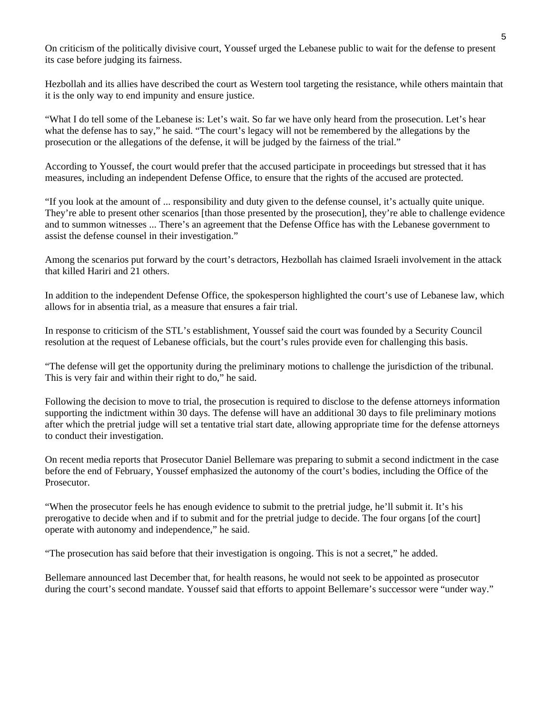On criticism of the politically divisive court, Youssef urged the Lebanese public to wait for the defense to present its case before judging its fairness.

Hezbollah and its allies have described the court as Western tool targeting the resistance, while others maintain that it is the only way to end impunity and ensure justice.

"What I do tell some of the Lebanese is: Let's wait. So far we have only heard from the prosecution. Let's hear what the defense has to say," he said. "The court's legacy will not be remembered by the allegations by the prosecution or the allegations of the defense, it will be judged by the fairness of the trial."

According to Youssef, the court would prefer that the accused participate in proceedings but stressed that it has measures, including an independent Defense Office, to ensure that the rights of the accused are protected.

"If you look at the amount of ... responsibility and duty given to the defense counsel, it's actually quite unique. They're able to present other scenarios [than those presented by the prosecution], they're able to challenge evidence and to summon witnesses ... There's an agreement that the Defense Office has with the Lebanese government to assist the defense counsel in their investigation."

Among the scenarios put forward by the court's detractors, Hezbollah has claimed Israeli involvement in the attack that killed Hariri and 21 others.

In addition to the independent Defense Office, the spokesperson highlighted the court's use of Lebanese law, which allows for in absentia trial, as a measure that ensures a fair trial.

In response to criticism of the STL's establishment, Youssef said the court was founded by a Security Council resolution at the request of Lebanese officials, but the court's rules provide even for challenging this basis.

"The defense will get the opportunity during the preliminary motions to challenge the jurisdiction of the tribunal. This is very fair and within their right to do," he said.

Following the decision to move to trial, the prosecution is required to disclose to the defense attorneys information supporting the indictment within 30 days. The defense will have an additional 30 days to file preliminary motions after which the pretrial judge will set a tentative trial start date, allowing appropriate time for the defense attorneys to conduct their investigation.

On recent media reports that Prosecutor Daniel Bellemare was preparing to submit a second indictment in the case before the end of February, Youssef emphasized the autonomy of the court's bodies, including the Office of the Prosecutor.

"When the prosecutor feels he has enough evidence to submit to the pretrial judge, he'll submit it. It's his prerogative to decide when and if to submit and for the pretrial judge to decide. The four organs [of the court] operate with autonomy and independence," he said.

"The prosecution has said before that their investigation is ongoing. This is not a secret," he added.

Bellemare announced last December that, for health reasons, he would not seek to be appointed as prosecutor during the court's second mandate. Youssef said that efforts to appoint Bellemare's successor were "under way."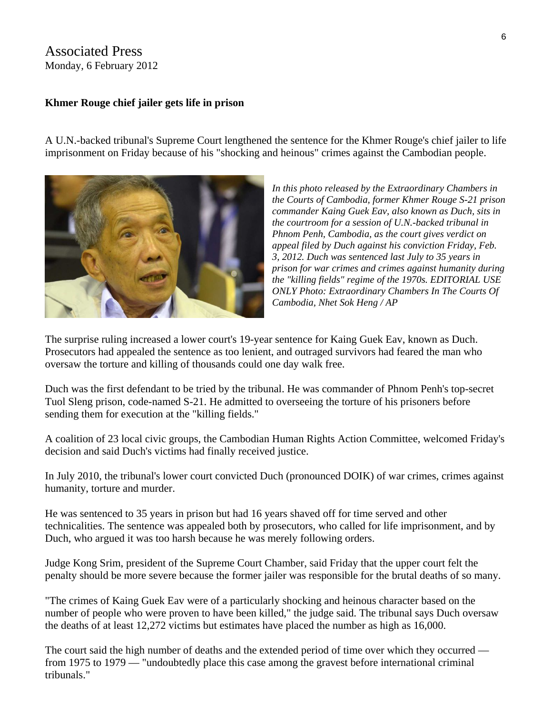## Associated Press Monday, 6 February 2012

#### **Khmer Rouge chief jailer gets life in prison**

A U.N.-backed tribunal's Supreme Court lengthened the sentence for the Khmer Rouge's chief jailer to life imprisonment on Friday because of his "shocking and heinous" crimes against the Cambodian people.



*In this photo released by the Extraordinary Chambers in the Courts of Cambodia, former Khmer Rouge S-21 prison commander Kaing Guek Eav, also known as Duch, sits in the courtroom for a session of U.N.-backed tribunal in Phnom Penh, Cambodia, as the court gives verdict on appeal filed by Duch against his conviction Friday, Feb. 3, 2012. Duch was sentenced last July to 35 years in prison for war crimes and crimes against humanity during the "killing fields" regime of the 1970s. EDITORIAL USE ONLY Photo: Extraordinary Chambers In The Courts Of Cambodia, Nhet Sok Heng / AP* 

The surprise ruling increased a lower court's 19-year sentence for Kaing Guek Eav, known as Duch. Prosecutors had appealed the sentence as too lenient, and outraged survivors had feared the man who oversaw the torture and killing of thousands could one day walk free.

Duch was the first defendant to be tried by the tribunal. He was commander of Phnom Penh's top-secret Tuol Sleng prison, code-named S-21. He admitted to overseeing the torture of his prisoners before sending them for execution at the "killing fields."

A coalition of 23 local civic groups, the Cambodian Human Rights Action Committee, welcomed Friday's decision and said Duch's victims had finally received justice.

In July 2010, the tribunal's lower court convicted Duch (pronounced DOIK) of war crimes, crimes against humanity, torture and murder.

He was sentenced to 35 years in prison but had 16 years shaved off for time served and other technicalities. The sentence was appealed both by prosecutors, who called for life imprisonment, and by Duch, who argued it was too harsh because he was merely following orders.

Judge Kong Srim, president of the Supreme Court Chamber, said Friday that the upper court felt the penalty should be more severe because the former jailer was responsible for the brutal deaths of so many.

"The crimes of Kaing Guek Eav were of a particularly shocking and heinous character based on the number of people who were proven to have been killed," the judge said. The tribunal says Duch oversaw the deaths of at least 12,272 victims but estimates have placed the number as high as 16,000.

The court said the high number of deaths and the extended period of time over which they occurred from 1975 to 1979 — "undoubtedly place this case among the gravest before international criminal tribunals."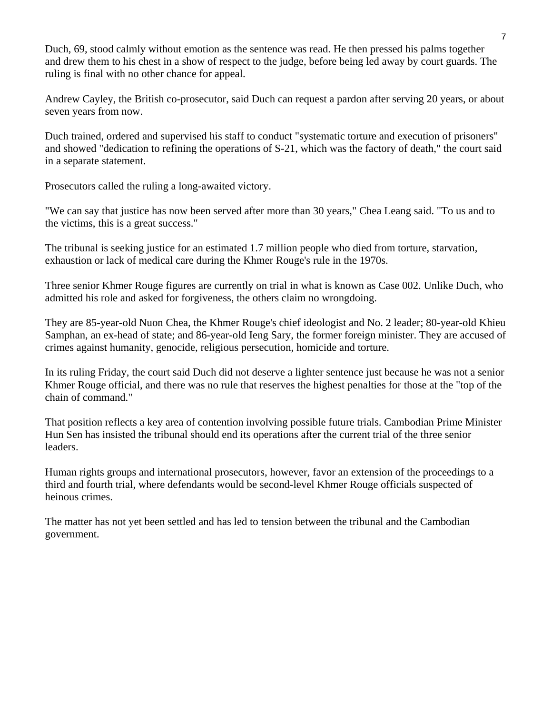Duch, 69, stood calmly without emotion as the sentence was read. He then pressed his palms together and drew them to his chest in a show of respect to the judge, before being led away by court guards. The ruling is final with no other chance for appeal.

Andrew Cayley, the British co-prosecutor, said Duch can request a pardon after serving 20 years, or about seven years from now.

Duch trained, ordered and supervised his staff to conduct "systematic torture and execution of prisoners" and showed "dedication to refining the operations of S-21, which was the factory of death," the court said in a separate statement.

Prosecutors called the ruling a long-awaited victory.

"We can say that justice has now been served after more than 30 years," Chea Leang said. "To us and to the victims, this is a great success."

The tribunal is seeking justice for an estimated 1.7 million people who died from torture, starvation, exhaustion or lack of medical care during the Khmer Rouge's rule in the 1970s.

Three senior Khmer Rouge figures are currently on trial in what is known as Case 002. Unlike Duch, who admitted his role and asked for forgiveness, the others claim no wrongdoing.

They are 85-year-old Nuon Chea, the Khmer Rouge's chief ideologist and No. 2 leader; 80-year-old Khieu Samphan, an ex-head of state; and 86-year-old Ieng Sary, the former foreign minister. They are accused of crimes against humanity, genocide, religious persecution, homicide and torture.

In its ruling Friday, the court said Duch did not deserve a lighter sentence just because he was not a senior Khmer Rouge official, and there was no rule that reserves the highest penalties for those at the "top of the chain of command."

That position reflects a key area of contention involving possible future trials. Cambodian Prime Minister Hun Sen has insisted the tribunal should end its operations after the current trial of the three senior leaders.

Human rights groups and international prosecutors, however, favor an extension of the proceedings to a third and fourth trial, where defendants would be second-level Khmer Rouge officials suspected of heinous crimes.

The matter has not yet been settled and has led to tension between the tribunal and the Cambodian government.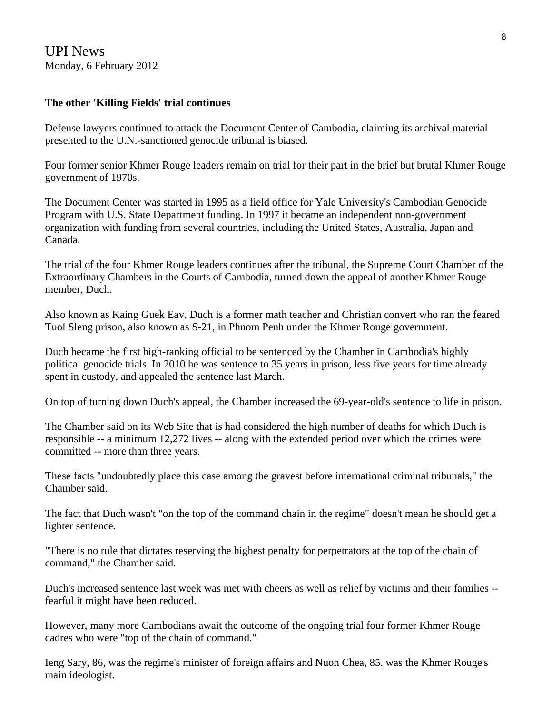### **The other 'Killing Fields' trial continues**

Defense lawyers continued to attack the Document Center of Cambodia, claiming its archival material presented to the U.N.-sanctioned genocide tribunal is biased.

Four former senior Khmer Rouge leaders remain on trial for their part in the brief but brutal Khmer Rouge government of 1970s.

The Document Center was started in 1995 as a field office for Yale University's Cambodian Genocide Program with U.S. State Department funding. In 1997 it became an independent non-government organization with funding from several countries, including the United States, Australia, Japan and Canada.

The trial of the four Khmer Rouge leaders continues after the tribunal, the Supreme Court Chamber of the Extraordinary Chambers in the Courts of Cambodia, turned down the appeal of another Khmer Rouge member, Duch.

Also known as Kaing Guek Eav, Duch is a former math teacher and Christian convert who ran the feared Tuol Sleng prison, also known as S-21, in Phnom Penh under the Khmer Rouge government.

Duch became the first high-ranking official to be sentenced by the Chamber in Cambodia's highly political genocide trials. In 2010 he was sentence to 35 years in prison, less five years for time already spent in custody, and appealed the sentence last March.

On top of turning down Duch's appeal, the Chamber increased the 69-year-old's sentence to life in prison.

The Chamber said on its Web Site that is had considered the high number of deaths for which Duch is responsible -- a minimum 12,272 lives -- along with the extended period over which the crimes were committed -- more than three years.

These facts "undoubtedly place this case among the gravest before international criminal tribunals," the Chamber said.

The fact that Duch wasn't "on the top of the command chain in the regime" doesn't mean he should get a lighter sentence.

"There is no rule that dictates reserving the highest penalty for perpetrators at the top of the chain of command," the Chamber said.

Duch's increased sentence last week was met with cheers as well as relief by victims and their families - fearful it might have been reduced.

However, many more Cambodians await the outcome of the ongoing trial four former Khmer Rouge cadres who were "top of the chain of command."

Ieng Sary, 86, was the regime's minister of foreign affairs and Nuon Chea, 85, was the Khmer Rouge's main ideologist.